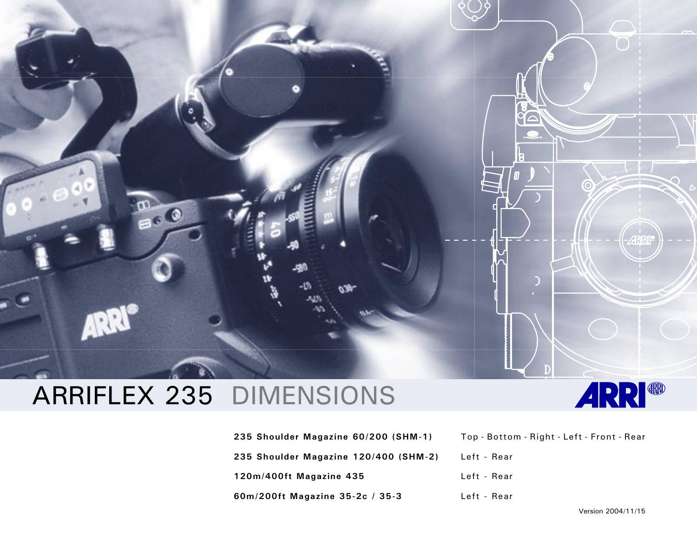

**235 Shoulder Magazine 60/200 (SHM-1)** [Top](#page-2-0) - [Bottom](#page-2-0) - [Right](#page-1-0) - [Left](#page-3-0) - [Front](#page-1-0) - [Rear](#page-3-0) **235 Shoulder Magazine 120/400 (SHM-2)** [Left - Rear](#page-4-0) **120m/400ft Magazine 435** [Left - Rear](#page-5-0) **60m/200ft Magazine 35-2c / 35-3** [Left - Rear](#page-6-0)

Version 2004/11/15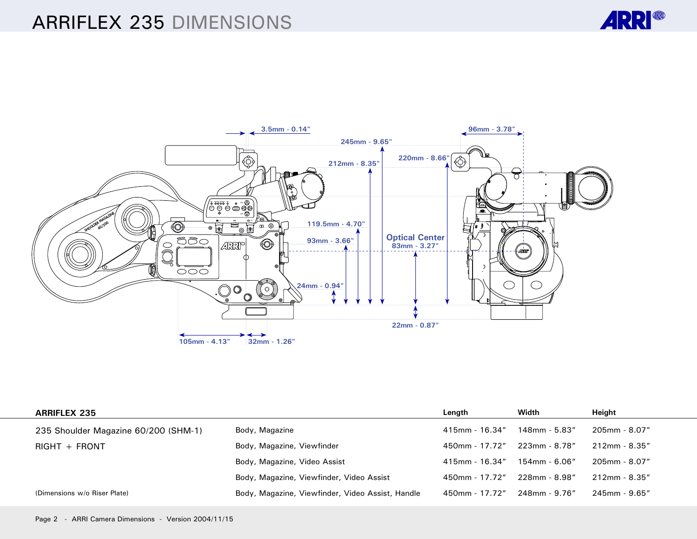

<span id="page-1-0"></span>

| <b>ARRIFLEX 235</b>                  |                                                  | Length            | Width            | Height             |
|--------------------------------------|--------------------------------------------------|-------------------|------------------|--------------------|
| 235 Shoulder Magazine 60/200 (SHM-1) | Body, Magazine                                   | 415mm - 16.34″    | 148mm - 5.83"    | 205mm - 8.07"      |
| $RIGHT + FROMT$                      | Body, Magazine, Viewfinder                       | 450mm - 17.72″    | $223$ mm - 8.78" | $212$ mm - 8.35"   |
|                                      | Body, Magazine, Video Assist                     | $415$ mm - 16.34" | 154mm - 6.06"    | $205$ mm - 8.07"   |
|                                      | Body, Magazine, Viewfinder, Video Assist         | 450mm - 17.72"    | 228mm - 8.98″    | $212$ mm - 8.35"   |
| (Dimensions w/o Riser Plate)         | Body, Magazine, Viewfinder, Video Assist, Handle | 450mm - 17.72"    | 248mm - 9.76″    | $245$ mm - $9.65"$ |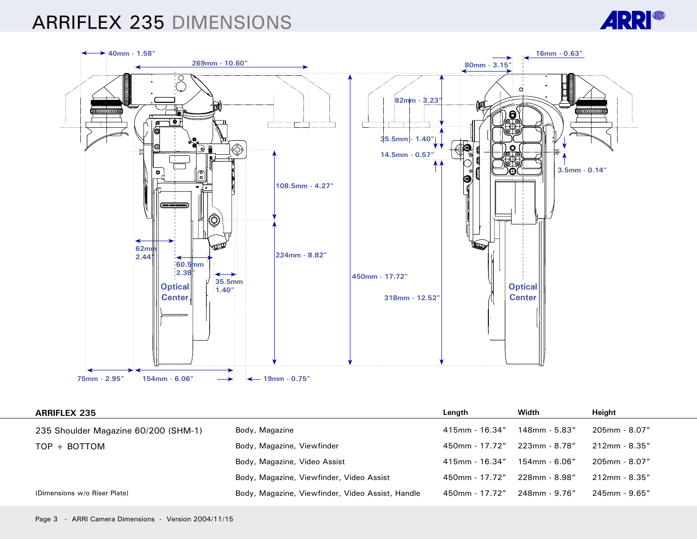

<span id="page-2-0"></span>

| <b>ARRIFLEX 235</b>                  |                                                  | Length            | Width            | Height           |
|--------------------------------------|--------------------------------------------------|-------------------|------------------|------------------|
| 235 Shoulder Magazine 60/200 (SHM-1) | Body, Magazine                                   | 415mm - 16.34"    | 148mm - 5.83"    | 205mm - 8.07"    |
| TOP + BOTTOM                         | Body, Magazine, Viewfinder                       | 450mm - 17.72"    | 223mm - 8.78"    | 212mm - 8.35"    |
|                                      | Body, Magazine, Video Assist                     | $415$ mm - 16.34" | $154$ mm - 6.06" | 205mm - 8.07"    |
|                                      | Body, Magazine, Viewfinder, Video Assist         | 450mm - 17.72"    | 228mm - 8.98″    | $212$ mm - 8.35" |
| (Dimensions w/o Riser Plate)         | Body, Magazine, Viewfinder, Video Assist, Handle | 450mm - 17.72″    | 248mm - 9.76"    | 245mm - 9.65"    |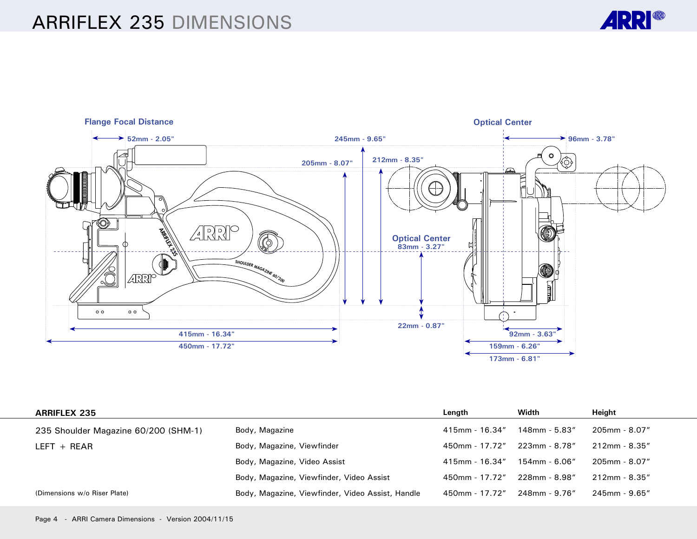

<span id="page-3-0"></span>

| <b>ARRIFLEX 235</b>                  |                                                  | Length         | Width         | Height           |
|--------------------------------------|--------------------------------------------------|----------------|---------------|------------------|
| 235 Shoulder Magazine 60/200 (SHM-1) | Body, Magazine                                   | 415mm - 16.34" | 148mm - 5.83" | $205$ mm - 8.07" |
| $LEFT + REAR$                        | Body, Magazine, Viewfinder                       | 450mm - 17.72" | 223mm - 8.78″ | $212$ mm - 8.35" |
|                                      | Body, Magazine, Video Assist                     | 415mm - 16.34" | 154mm - 6.06″ | $205$ mm - 8.07" |
|                                      | Body, Magazine, Viewfinder, Video Assist         | 450mm - 17.72" | 228mm - 8.98" | $212$ mm - 8.35" |
| (Dimensions w/o Riser Plate)         | Body, Magazine, Viewfinder, Video Assist, Handle | 450mm - 17.72" | 248mm - 9.76″ | 245mm - 9.65"    |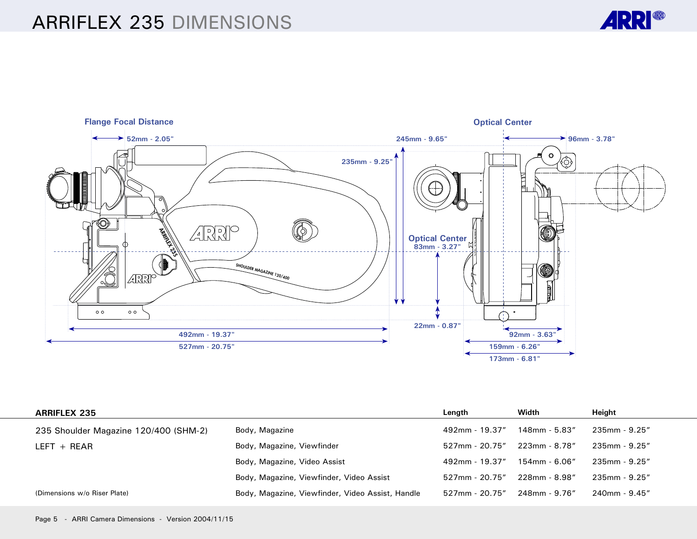

<span id="page-4-0"></span>

| <b>ARRIFLEX 235</b>                   |                                                  | Length            | Width            | Height             |
|---------------------------------------|--------------------------------------------------|-------------------|------------------|--------------------|
| 235 Shoulder Magazine 120/400 (SHM-2) | Body, Magazine                                   | 492mm - 19.37"    | 148mm - 5.83"    | $235$ mm - $9.25"$ |
| $LEFT + REAR$                         | Body, Magazine, Viewfinder                       | $527$ mm - 20.75" | $223$ mm - 8.78" | $235$ mm - $9.25"$ |
|                                       | Body, Magazine, Video Assist                     | 492mm - 19.37"    | $154$ mm - 6.06" | $235$ mm - $9.25"$ |
|                                       | Body, Magazine, Viewfinder, Video Assist         | $527$ mm - 20.75" | 228mm - 8.98"    | $235$ mm - $9.25"$ |
| (Dimensions w/o Riser Plate)          | Body, Magazine, Viewfinder, Video Assist, Handle | $527$ mm - 20.75" | 248mm - 9.76″    | 240mm - 9.45"      |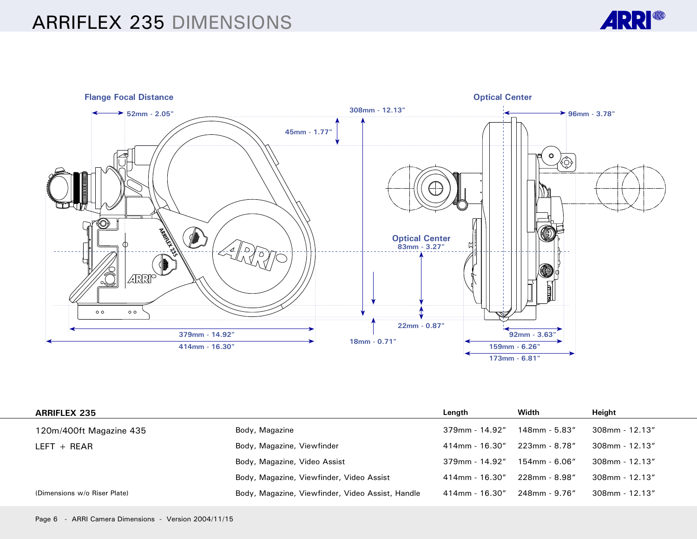

<span id="page-5-0"></span>

| <b>ARRIFLEX 235</b>          |                                                  | Length            | Width         | Height            |
|------------------------------|--------------------------------------------------|-------------------|---------------|-------------------|
| 120m/400ft Magazine 435      | Body, Magazine                                   | $379$ mm - 14.92" | 148mm - 5.83" | $308$ mm - 12.13" |
| $LEFT + REAR$                | Body, Magazine, Viewfinder                       | $414$ mm - 16.30" | 223mm - 8.78" | $308$ mm - 12.13" |
|                              | Body, Magazine, Video Assist                     | $379$ mm - 14.92" | 154mm - 6.06" | $308$ mm - 12.13" |
|                              | Body, Magazine, Viewfinder, Video Assist         | $414$ mm - 16.30" | 228mm - 8.98" | $308$ mm - 12.13" |
| (Dimensions w/o Riser Plate) | Body, Magazine, Viewfinder, Video Assist, Handle | $414$ mm - 16.30" | 248mm - 9.76" | $308$ mm - 12.13" |